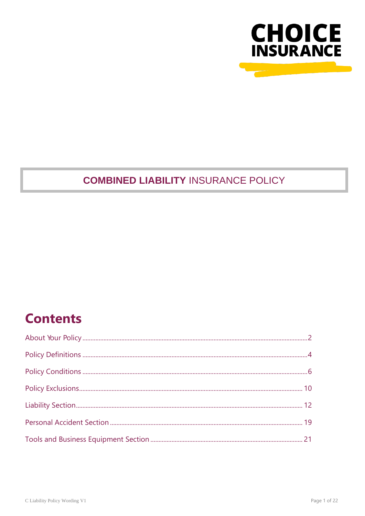

## **COMBINED LIABILITY INSURANCE POLICY**

## **Contents**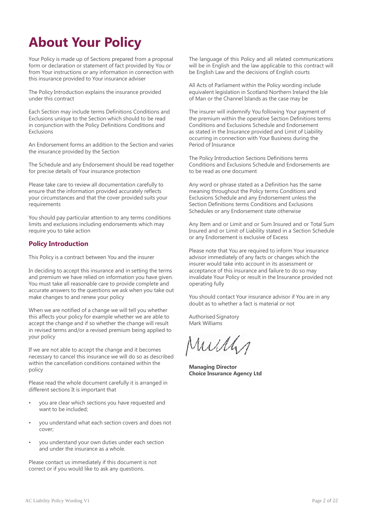## <span id="page-1-0"></span>**About Your Policy**

Your Policy is made up of Sections prepared from a proposal form or declaration or statement of fact provided by You or from Your instructions or any information in connection with this insurance provided to Your insurance adviser

The Policy Introduction explains the insurance provided under this contract

Each Section may include terms Definitions Conditions and Exclusions unique to the Section which should to be read in conjunction with the Policy Definitions Conditions and **Exclusions** 

An Endorsement forms an addition to the Section and varies the insurance provided by the Section

The Schedule and any Endorsement should be read together for precise details of Your insurance protection

Please take care to review all documentation carefully to ensure that the information provided accurately reflects your circumstances and that the cover provided suits your requirements

You should pay particular attention to any terms conditions limits and exclusions including endorsements which may require you to take action

## **Policy Introduction**

This Policy is a contract between You and the insurer

In deciding to accept this insurance and in setting the terms and premium we have relied on information you have given. You must take all reasonable care to provide complete and accurate answers to the questions we ask when you take out make changes to and renew your policy

When we are notified of a change we will tell you whether this affects your policy for example whether we are able to accept the change and if so whether the change will result in revised terms and/or a revised premium being applied to your policy

If we are not able to accept the change and it becomes necessary to cancel this insurance we will do so as described within the cancellation conditions contained within the policy

Please read the whole document carefully it is arranged in different sections It is important that

- you are clear which sections you have requested and want to be included;
- you understand what each section covers and does not cover;
- you understand your own duties under each section and under the insurance as a whole.

Please contact us immediately if this document is not correct or if you would like to ask any questions.

The language of this Policy and all related communications will be in English and the law applicable to this contract will be English Law and the decisions of English courts

All Acts of Parliament within the Policy wording include equivalent legislation in Scotland Northern Ireland the Isle of Man or the Channel Islands as the case may be

The insurer will indemnify You following Your payment of the premium within the operative Section Definitions terms Conditions and Exclusions Schedule and Endorsement as stated in the Insurance provided and Limit of Liability occurring in connection with Your Business during the Period of Insurance

The Policy Introduction Sections Definitions terms Conditions and Exclusions Schedule and Endorsements are to be read as one document

Any word or phrase stated as a Definition has the same meaning throughout the Policy terms Conditions and Exclusions Schedule and any Endorsement unless the Section Definitions terms Conditions and Exclusions Schedules or any Endorsement state otherwise

Any Item and or Limit and or Sum Insured and or Total Sum Insured and or Limit of Liability stated in a Section Schedule or any Endorsement is exclusive of Excess

Please note that You are required to inform Your insurance advisor immediately of any facts or changes which the insurer would take into account in its assessment or acceptance of this insurance and failure to do so may invalidate Your Policy or result in the Insurance provided not operating fully

You should contact Your insurance advisor if You are in any doubt as to whether a fact is material or not

Authorised Signatory Mark Williams

Murly

**Managing Director Choice Insurance Agency Ltd**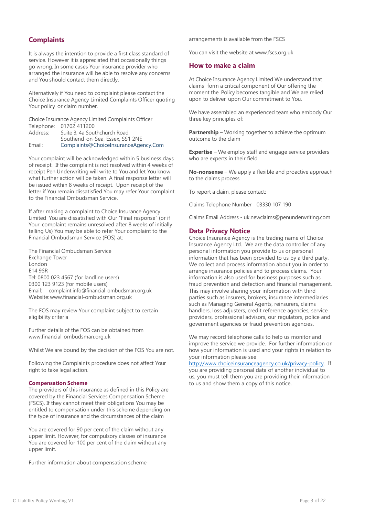## **Complaints**

It is always the intention to provide a first class standard of service. However it is appreciated that occasionally things go wrong. In some cases Your insurance provider who arranged the insurance will be able to resolve any concerns and You should contact them directly.

Alternatively if You need to complaint please contact the Choice Insurance Agency Limited Complaints Officer quoting Your policy or claim number.

Choice Insurance Agency Limited Complaints Officer Telephone: 01702 411200<br>Address: Suite 3, 4a Sou

Suite 3, 4a Southchurch Road, Southend-on-Sea, Essex, SS1 2NE Email: [Complaints@ChoiceInsuranceAgency.Com](mailto:Complaints@ChoiceInsuranceAgency.Com)

Your complaint will be acknowledged within 5 business days of receipt. If the complaint is not resolved within 4 weeks of receipt Pen Underwriting will write to You and let You know what further action will be taken. A final response letter will be issued within 8 weeks of receipt. Upon receipt of the letter if You remain dissatisfied You may refer Your complaint to the Financial Ombudsman Service.

If after making a complaint to Choice Insurance Agency Limited You are dissatisfied with Our "Final response" (or if Your complaint remains unresolved after 8 weeks of initially telling Us) You may be able to refer Your complaint to the Financial Ombudsman Service (FOS) at:

The Financial Ombudsman Service Exchange Tower **London** E14 9SR Tel: 0800 023 4567 (for landline users) 0300 123 9123 (for mobile users) Email: [complaint.info@financial-ombudsman.org.uk](mailto:complaint.info@financial-ombudsman.org.uk) Website[:www.financial-ombudsman.org.uk](http://www.financial-ombudsman.org.uk/)

The FOS may review Your complaint subject to certain eligibility criteria

Further details of the FOS can be obtained from [www.financial-ombudsman.org.uk](http://www.financial-ombudsman.org.uk/)

Whilst We are bound by the decision of the FOS You are not.

Following the Complaints procedure does not affect Your right to take legal action.

## **Compensation Scheme**

The providers of this insurance as defined in this Policy are covered by the Financial Services Compensation Scheme (FSCS). If they cannot meet their obligations You may be entitled to compensation under this scheme depending on the type of insurance and the circumstances of the claim

You are covered for 90 per cent of the claim without any upper limit. However, for compulsory classes of insurance You are covered for 100 per cent of the claim without any upper limit.

Further information about compensation scheme

arrangements is available from the FSCS

You can visit the website at [www.fscs.org.uk](http://www.fscs.org.uk/)

## **How to make a claim**

At Choice Insurance Agency Limited We understand that claims form a critical component of Our offering the moment the Policy becomes tangible and We are relied upon to deliver upon Our commitment to You.

We have assembled an experienced team who embody Our three key principles of:

**Partnership** – Working together to achieve the optimum outcome to the claim

**Expertise** – We employ staff and engage service providers who are experts in their field

**No-nonsense** – We apply a flexible and proactive approach to the claims process

To report a claim, please contact:

Claims Telephone Number - 03330 107 190

Claims Email Address - [uk.newclaims@penunderwriting.com](mailto:uk.newclaims@penunderwriting.com)

## **Data Privacy Notice**

Choice Insurance Agency is the trading name of Choice Insurance Agency Ltd. We are the data controller of any personal information you provide to us or personal information that has been provided to us by a third party. We collect and process information about you in order to arrange insurance policies and to process claims. Your information is also used for business purposes such as fraud prevention and detection and financial management. This may involve sharing your information with third parties such as insurers, brokers, insurance intermediaries such as Managing General Agents, reinsurers, claims handlers, loss adjusters, credit reference agencies, service providers, professional advisors, our regulators, police and government agencies or fraud prevention agencies.

We may record telephone calls to help us monitor and improve the service we provide. For further information on how your information is used and your rights in relation to your information please see

[http://www.choiceinsuranceagency.co.uk/privacy-policy.](http://www.choiceinsuranceagency.co.uk/privacy-policy) If you are providing personal data of another individual to us, you must tell them you are providing their information to us and show them a copy of this notice.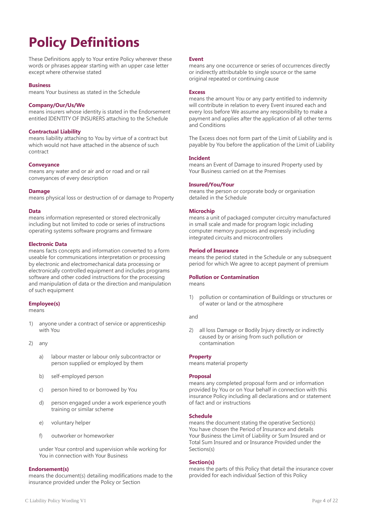## <span id="page-3-0"></span>**Policy Definitions**

These Definitions apply to Your entire Policy wherever these words or phrases appear starting with an upper case letter except where otherwise stated

## **Business**

means Your business as stated in the Schedule

## **Company/Our/Us/We**

means insurers whose identity is stated in the Endorsement entitled IDENTITY OF INSURERS attaching to the Schedule

### **Contractual Liability**

means liability attaching to You by virtue of a contract but which would not have attached in the absence of such contract

### **Conveyance**

means any water and or air and or road and or rail conveyances of every description

### **Damage**

means physical loss or destruction of or damage to Property

### **Data**

means information represented or stored electronically including but not limited to code or series of instructions operating systems software programs and firmware

## **Electronic Data**

means facts concepts and information converted to a form useable for communications interpretation or processing by electronic and electromechanical data processing or electronically controlled equipment and includes programs software and other coded instructions for the processing and manipulation of data or the direction and manipulation of such equipment

## **Employee(s)**

means

- 1) anyone under a contract of service or apprenticeship with You
- 2) any
	- a) labour master or labour only subcontractor or person supplied or employed by them
	- b) self-employed person
	- c) person hired to or borrowed by You
	- d) person engaged under a work experience youth training or similar scheme
	- e) voluntary helper
	- f) outworker or homeworker

under Your control and supervision while working for You in connection with Your Business

#### **Endorsement(s)**

means the document(s) detailing modifications made to the insurance provided under the Policy or Section

#### **Event**

means any one occurrence or series of occurrences directly or indirectly attributable to single source or the same original repeated or continuing cause

#### **Excess**

means the amount You or any party entitled to indemnity will contribute in relation to every Event insured each and every loss before We assume any responsibility to make a payment and applies after the application of all other terms and Conditions

The Excess does not form part of the Limit of Liability and is payable by You before the application of the Limit of Liability

#### **Incident**

means an Event of Damage to insured Property used by Your Business carried on at the Premises

## **Insured/You/Your**

means the person or corporate body or organisation detailed in the Schedule

### **Microchip**

means a unit of packaged computer circuitry manufactured in small scale and made for program logic including computer memory purposes and expressly including integrated circuits and microcontrollers

### **Period of Insurance**

means the period stated in the Schedule or any subsequent period for which We agree to accept payment of premium

## **Pollution or Contamination**

means

1) pollution or contamination of Buildings or structures or of water or land or the atmosphere

and

2) all loss Damage or Bodily Injury directly or indirectly caused by or arising from such pollution or contamination

#### **Property**

means material property

## **Proposal**

means any completed proposal form and or information provided by You or on Your behalf in connection with this insurance Policy including all declarations and or statement of fact and or instructions

#### **Schedule**

means the document stating the operative Section(s) You have chosen the Period of Insurance and details Your Business the Limit of Liability or Sum Insured and or Total Sum Insured and or Insurance Provided under the Sections(s)

#### **Section(s)**

means the parts of this Policy that detail the insurance cover provided for each individual Section of this Policy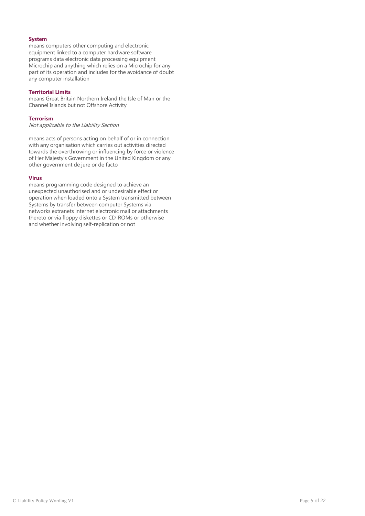## **System**

means computers other computing and electronic equipment linked to a computer hardware software programs data electronic data processing equipment Microchip and anything which relies on a Microchip for any part of its operation and includes for the avoidance of doubt any computer installation

## **Territorial Limits**

means Great Britain Northern Ireland the Isle of Man or the Channel Islands but not Offshore Activity

## **Terrorism**

Not applicable to the Liability Section

means acts of persons acting on behalf of or in connection with any organisation which carries out activities directed towards the overthrowing or influencing by force or violence of Her Majesty's Government in the United Kingdom or any other government de jure or de facto

## **Virus**

means programming code designed to achieve an unexpected unauthorised and or undesirable effect or operation when loaded onto a System transmitted between Systems by transfer between computer Systems via networks extranets internet electronic mail or attachments thereto or via floppy diskettes or CD-ROMs or otherwise and whether involving self-replication or not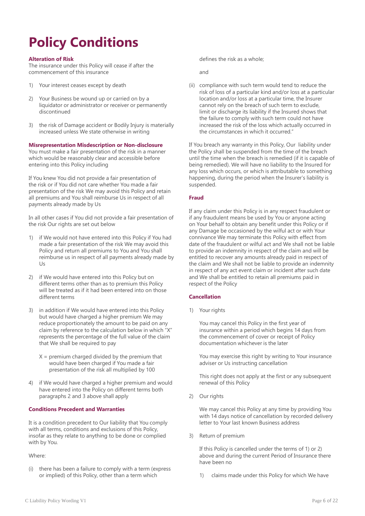## <span id="page-5-0"></span>**Policy Conditions**

## **Alteration of Risk**

The insurance under this Policy will cease if after the commencement of this insurance

- 1) Your interest ceases except by death
- 2) Your Business be wound up or carried on by a liquidator or administrator or receiver or permanently discontinued
- 3) the risk of Damage accident or Bodily Injury is materially increased unless We state otherwise in writing

**Misrepresentation Misdescription or Non-disclosure**

You must make a fair presentation of the risk in a manner which would be reasonably clear and accessible before entering into this Policy including

If You knew You did not provide a fair presentation of the risk or if You did not care whether You made a fair presentation of the risk We may avoid this Policy and retain all premiums and You shall reimburse Us in respect of all payments already made by Us

In all other cases if You did not provide a fair presentation of the risk Our rights are set out below

- 1) if We would not have entered into this Policy if You had made a fair presentation of the risk We may avoid this Policy and return all premiums to You and You shall reimburse us in respect of all payments already made by Us
- 2) if We would have entered into this Policy but on different terms other than as to premium this Policy will be treated as if it had been entered into on those different terms
- 3) in addition if We would have entered into this Policy but would have charged a higher premium We may reduce proportionately the amount to be paid on any claim by reference to the calculation below in which "X" represents the percentage of the full value of the claim that We shall be required to pay
	- $X =$  premium charged divided by the premium that would have been charged if You made a fair presentation of the risk all multiplied by 100
- 4) if We would have charged a higher premium and would have entered into the Policy on different terms both paragraphs 2 and 3 above shall apply

## **Conditions Precedent and Warranties**

It is a condition precedent to Our liability that You comply with all terms, conditions and exclusions of this Policy, insofar as they relate to anything to be done or complied with by You.

## Where:

(i) there has been a failure to comply with a term (express or implied) of this Policy, other than a term which

defines the risk as a whole;

and

(ii) compliance with such term would tend to reduce the risk of loss of a particular kind and/or loss at a particular location and/or loss at a particular time, the Insurer cannot rely on the breach of such term to exclude, limit or discharge its liability if the Insured shows that the failure to comply with such term could not have increased the risk of the loss which actually occurred in the circumstances in which it occurred."

If You breach any warranty in this Policy, Our liability under the Policy shall be suspended from the time of the breach until the time when the breach is remedied (if it is capable of being remedied). We will have no liability to the Insured for any loss which occurs, or which is attributable to something happening, during the period when the Insurer's liability is suspended.

## **Fraud**

If any claim under this Policy is in any respect fraudulent or if any fraudulent means be used by You or anyone acting on Your behalf to obtain any benefit under this Policy or if any Damage be occasioned by the wilful act or with Your connivance We may terminate this Policy with effect from date of the fraudulent or wilful act and We shall not be liable to provide an indemnity in respect of the claim and will be entitled to recover any amounts already paid in respect of the claim and We shall not be liable to provide an indemnity in respect of any act event claim or incident after such date and We shall be entitled to retain all premiums paid in respect of the Policy

## **Cancellation**

1) Your rights

You may cancel this Policy in the first year of insurance within a period which begins 14 days from the commencement of cover or receipt of Policy documentation whichever is the later

You may exercise this right by writing to Your insurance adviser or Us instructing cancellation

This right does not apply at the first or any subsequent renewal of this Policy

2) Our rights

We may cancel this Policy at any time by providing You with 14 days notice of cancellation by recorded delivery letter to Your last known Business address

3) Return of premium

If this Policy is cancelled under the terms of 1) or 2) above and during the current Period of Insurance there have been no

1) claims made under this Policy for which We have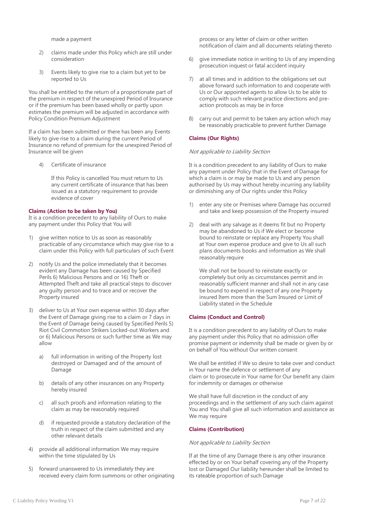made a payment

- 2) claims made under this Policy which are still under consideration
- 3) Events likely to give rise to a claim but yet to be reported to Us

You shall be entitled to the return of a proportionate part of the premium in respect of the unexpired Period of Insurance or if the premium has been based wholly or partly upon estimates the premium will be adjusted in accordance with Policy Condition Premium Adjustment

If a claim has been submitted or there has been any Events likely to give rise to a claim during the current Period of Insurance no refund of premium for the unexpired Period of Insurance will be given

4) Certificate of insurance

If this Policy is cancelled You must return to Us any current certificate of insurance that has been issued as a statutory requirement to provide evidence of cover

### **Claims (Action to be taken by You)**

It is a condition precedent to any liability of Ours to make any payment under this Policy that You will

- 1) give written notice to Us as soon as reasonably practicable of any circumstance which may give rise to a claim under this Policy with full particulars of such Event
- 2) notify Us and the police immediately that it becomes evident any Damage has been caused by Specified Perils 6) Malicious Persons and or 16) Theft or Attempted Theft and take all practical steps to discover any guilty person and to trace and or recover the Property insured
- 3) deliver to Us at Your own expense within 30 days after the Event of Damage giving rise to a claim or 7 days in the Event of Damage being caused by Specified Perils 5) Riot Civil Commotion Strikers Locked-out Workers and or 6) Malicious Persons or such further time as We may allow
	- a) full information in writing of the Property lost destroyed or Damaged and of the amount of Damage
	- b) details of any other insurances on any Property hereby insured
	- c) all such proofs and information relating to the claim as may be reasonably required
	- d) if requested provide a statutory declaration of the truth in respect of the claim submitted and any other relevant details
- 4) provide all additional information We may require within the time stipulated by Us
- 5) forward unanswered to Us immediately they are received every claim form summons or other originating

process or any letter of claim or other written notification of claim and all documents relating thereto

- 6) give immediate notice in writing to Us of any impending prosecution inquest or fatal accident inquiry
- 7) at all times and in addition to the obligations set out above forward such information to and cooperate with Us or Our appointed agents to allow Us to be able to comply with such relevant practice directions and preaction protocols as may be in force
- 8) carry out and permit to be taken any action which may be reasonably practicable to prevent further Damage

## **Claims (Our Rights)**

## Not applicable to Liability Section

It is a condition precedent to any liability of Ours to make any payment under Policy that in the Event of Damage for which a claim is or may be made to Us and any person authorised by Us may without hereby incurring any liability or diminishing any of Our rights under this Policy

- 1) enter any site or Premises where Damage has occurred and take and keep possession of the Property insured
- 2) deal with any salvage as it deems fit but no Property may be abandoned to Us if We elect or become bound to reinstate or replace any Property You shall at Your own expense produce and give to Us all such plans documents books and information as We shall reasonably require

We shall not be bound to reinstate exactly or completely but only as circumstances permit and in reasonably sufficient manner and shall not in any case be bound to expend in respect of any one Property insured Item more than the Sum Insured or Limit of Liability stated in the Schedule

## **Claims (Conduct and Control)**

It is a condition precedent to any liability of Ours to make any payment under this Policy that no admission offer promise payment or indemnity shall be made or given by or on behalf of You without Our written consent

We shall be entitled if We so desire to take over and conduct in Your name the defence or settlement of any claim or to prosecute in Your name for Our benefit any claim for indemnity or damages or otherwise

We shall have full discretion in the conduct of any proceedings and in the settlement of any such claim against You and You shall give all such information and assistance as We may require

#### **Claims (Contribution)**

## Not applicable to Liability Section

If at the time of any Damage there is any other insurance effected by or on Your behalf covering any of the Property lost or Damaged Our liability hereunder shall be limited to its rateable proportion of such Damage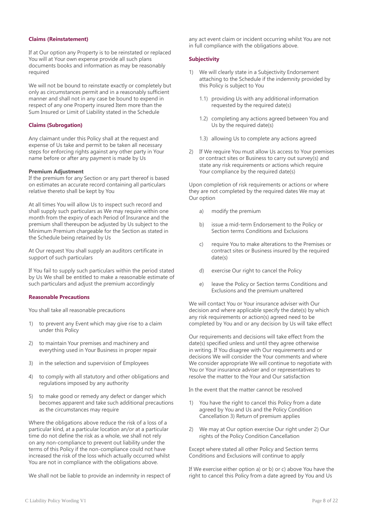## **Claims (Reinstatement)**

If at Our option any Property is to be reinstated or replaced You will at Your own expense provide all such plans documents books and information as may be reasonably required

We will not be bound to reinstate exactly or completely but only as circumstances permit and in a reasonably sufficient manner and shall not in any case be bound to expend in respect of any one Property insured Item more than the Sum Insured or Limit of Liability stated in the Schedule

## **Claims (Subrogation)**

Any claimant under this Policy shall at the request and expense of Us take and permit to be taken all necessary steps for enforcing rights against any other party in Your name before or after any payment is made by Us

### **Premium Adjustment**

If the premium for any Section or any part thereof is based on estimates an accurate record containing all particulars relative thereto shall be kept by You

At all times You will allow Us to inspect such record and shall supply such particulars as We may require within one month from the expiry of each Period of Insurance and the premium shall thereupon be adjusted by Us subject to the Minimum Premium chargeable for the Section as stated in the Schedule being retained by Us

At Our request You shall supply an auditors certificate in support of such particulars

If You fail to supply such particulars within the period stated by Us We shall be entitled to make a reasonable estimate of such particulars and adjust the premium accordingly

#### **Reasonable Precautions**

You shall take all reasonable precautions

- 1) to prevent any Event which may give rise to a claim under this Policy
- 2) to maintain Your premises and machinery and everything used in Your Business in proper repair
- 3) in the selection and supervision of Employees
- 4) to comply with all statutory and other obligations and regulations imposed by any authority
- 5) to make good or remedy any defect or danger which becomes apparent and take such additional precautions as the circumstances may require

Where the obligations above reduce the risk of a loss of a particular kind, at a particular location an/or at a particular time do not define the risk as a whole, we shall not rely on any non-compliance to prevent out liability under the terms of this Policy if the non-compliance could not have increased the risk of the loss which actually occurred whilst You are not in compliance with the obligations above.

We shall not be liable to provide an indemnity in respect of

any act event claim or incident occurring whilst You are not in full compliance with the obligations above.

## **Subjectivity**

- 1) We will clearly state in a Subjectivity Endorsement attaching to the Schedule if the indemnity provided by this Policy is subject to You
	- 1.1) providing Us with any additional information requested by the required date(s)
	- 1.2) completing any actions agreed between You and Us by the required date(s)
	- 1.3) allowing Us to complete any actions agreed
- 2) If We require You must allow Us access to Your premises or contract sites or Business to carry out survey(s) and state any risk requirements or actions which require Your compliance by the required date(s)

Upon completion of risk requirements or actions or where they are not completed by the required dates We may at Our option

- a) modify the premium
- b) issue a mid-term Endorsement to the Policy or Section terms Conditions and Exclusions
- c) require You to make alterations to the Premises or contract sites or Business insured by the required date(s)
- d) exercise Our right to cancel the Policy
- e) leave the Policy or Section terms Conditions and Exclusions and the premium unaltered

We will contact You or Your insurance adviser with Our decision and where applicable specify the date(s) by which any risk requirements or action(s) agreed need to be completed by You and or any decision by Us will take effect

Our requirements and decisions will take effect from the date(s) specified unless and until they agree otherwise in writing. If You disagree with Our requirements and or decisions We will consider the Your comments and where We consider appropriate We will continue to negotiate with You or Your insurance adviser and or representatives to resolve the matter to the Your and Our satisfaction

In the event that the matter cannot be resolved

- 1) You have the right to cancel this Policy from a date agreed by You and Us and the Policy Condition Cancellation 3) Return of premium applies
- 2) We may at Our option exercise Our right under 2) Our rights of the Policy Condition Cancellation

Except where stated all other Policy and Section terms Conditions and Exclusions will continue to apply

If We exercise either option a) or b) or c) above You have the right to cancel this Policy from a date agreed by You and Us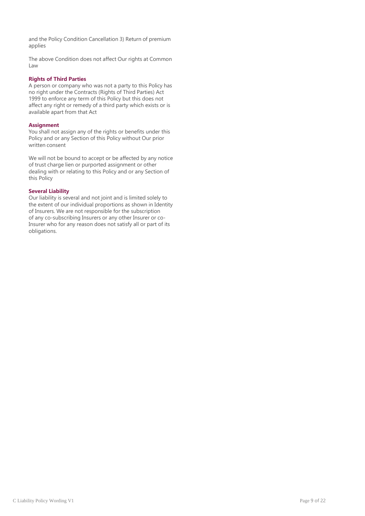and the Policy Condition Cancellation 3) Return of premium applies

The above Condition does not affect Our rights at Common Law

## **Rights of Third Parties**

A person or company who was not a party to this Policy has no right under the Contracts (Rights of Third Parties) Act 1999 to enforce any term of this Policy but this does not affect any right or remedy of a third party which exists or is available apart from that Act

#### **Assignment**

You shall not assign any of the rights or benefits under this Policy and or any Section of this Policy without Our prior written consent

We will not be bound to accept or be affected by any notice of trust charge lien or purported assignment or other dealing with or relating to this Policy and or any Section of this Policy

## **Several Liability**

Our liability is several and not joint and is limited solely to the extent of our individual proportions as shown in Identity of Insurers. We are not responsible for the subscription of any co-subscribing Insurers or any other Insurer or co-Insurer who for any reason does not satisfy all or part of its obligations.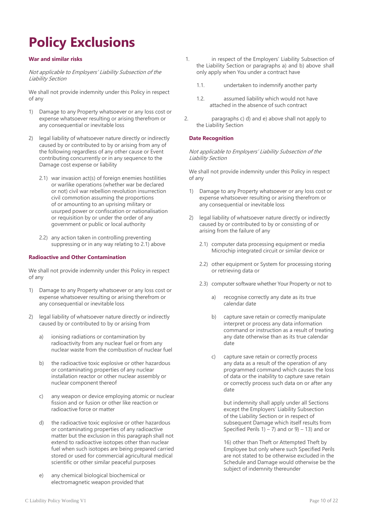## <span id="page-9-0"></span>**Policy Exclusions**

## **War and similar risks**

Not applicable to Employers' Liability Subsection of the Liability Section

We shall not provide indemnity under this Policy in respect of any

- 1) Damage to any Property whatsoever or any loss cost or expense whatsoever resulting or arising therefrom or any consequential or inevitable loss
- 2) legal liability of whatsoever nature directly or indirectly caused by or contributed to by or arising from any of the following regardless of any other cause or Event contributing concurrently or in any sequence to the Damage cost expense or liability
	- 2.1) war invasion act(s) of foreign enemies hostilities or warlike operations (whether war be declared or not) civil war rebellion revolution insurrection civil commotion assuming the proportions of or amounting to an uprising military or usurped power or confiscation or nationalisation or requisition by or under the order of any government or public or local authority
	- 2.2) any action taken in controlling preventing suppressing or in any way relating to 2.1) above

## **Radioactive and Other Contamination**

We shall not provide indemnity under this Policy in respect of any

- 1) Damage to any Property whatsoever or any loss cost or expense whatsoever resulting or arising therefrom or any consequential or inevitable loss
- 2) legal liability of whatsoever nature directly or indirectly caused by or contributed to by or arising from
	- a) ionising radiations or contamination by radioactivity from any nuclear fuel or from any nuclear waste from the combustion of nuclear fuel
	- b) the radioactive toxic explosive or other hazardous or contaminating properties of any nuclear installation reactor or other nuclear assembly or nuclear component thereof
	- c) any weapon or device employing atomic or nuclear fission and or fusion or other like reaction or radioactive force or matter
	- d) the radioactive toxic explosive or other hazardous or contaminating properties of any radioactive matter but the exclusion in this paragraph shall not extend to radioactive isotopes other than nuclear fuel when such isotopes are being prepared carried stored or used for commercial agricultural medical scientific or other similar peaceful purposes
	- e) any chemical biological biochemical or electromagnetic weapon provided that
- 1. in respect of the Employers' Liability Subsection of the Liability Section or paragraphs a) and b) above shall only apply when You under a contract have
	- 1.1. undertaken to indemnify another party
	- 1.2. assumed liability which would not have attached in the absence of such contract
- 2. paragraphs c) d) and e) above shall not apply to the Liability Section

## **Date Recognition**

Not applicable to Employers' Liability Subsection of the Liability Section

We shall not provide indemnity under this Policy in respect of any

- 1) Damage to any Property whatsoever or any loss cost or expense whatsoever resulting or arising therefrom or any consequential or inevitable loss
- 2) legal liability of whatsoever nature directly or indirectly caused by or contributed to by or consisting of or arising from the failure of any
	- 2.1) computer data processing equipment or media Microchip integrated circuit or similar device or
	- 2.2) other equipment or System for processing storing or retrieving data or
	- 2.3) computer software whether Your Property or not to
		- a) recognise correctly any date as its true calendar date
		- b) capture save retain or correctly manipulate interpret or process any data information command or instruction as a result of treating any date otherwise than as its true calendar date
		- c) capture save retain or correctly process any data as a result of the operation of any programmed command which causes the loss of data or the inability to capture save retain or correctly process such data on or after any date

but indemnity shall apply under all Sections except the Employers' Liability Subsection of the Liability Section or in respect of subsequent Damage which itself results from Specified Perils  $1) - 7$ ) and or  $9$ ) – 13) and or

16) other than Theft or Attempted Theft by Employee but only where such Specified Perils are not stated to be otherwise excluded in the Schedule and Damage would otherwise be the subject of indemnity thereunder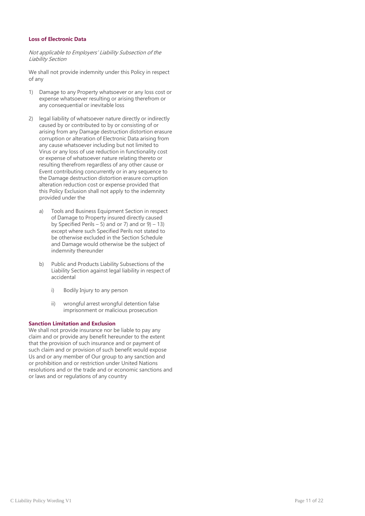## **Loss of Electronic Data**

Not applicable to Employers' Liability Subsection of the Liability Section

We shall not provide indemnity under this Policy in respect of any

- 1) Damage to any Property whatsoever or any loss cost or expense whatsoever resulting or arising therefrom or any consequential or inevitable loss
- 2) legal liability of whatsoever nature directly or indirectly caused by or contributed to by or consisting of or arising from any Damage destruction distortion erasure corruption or alteration of Electronic Data arising from any cause whatsoever including but not limited to Virus or any loss of use reduction in functionality cost or expense of whatsoever nature relating thereto or resulting therefrom regardless of any other cause or Event contributing concurrently or in any sequence to the Damage destruction distortion erasure corruption alteration reduction cost or expense provided that this Policy Exclusion shall not apply to the indemnity provided under the
	- a) Tools and Business Equipment Section in respect of Damage to Property insured directly caused by Specified Perils – 5) and or 7) and or  $9 - 13$ ) except where such Specified Perils not stated to be otherwise excluded in the Section Schedule and Damage would otherwise be the subject of indemnity thereunder
	- b) Public and Products Liability Subsections of the Liability Section against legal liability in respect of accidental
		- i) Bodily Injury to any person
		- ii) wrongful arrest wrongful detention false imprisonment or malicious prosecution

## **Sanction Limitation and Exclusion**

We shall not provide insurance nor be liable to pay any claim and or provide any benefit hereunder to the extent that the provision of such insurance and or payment of such claim and or provision of such benefit would expose Us and or any member of Our group to any sanction and or prohibition and or restriction under United Nations resolutions and or the trade and or economic sanctions and or laws and or regulations of any country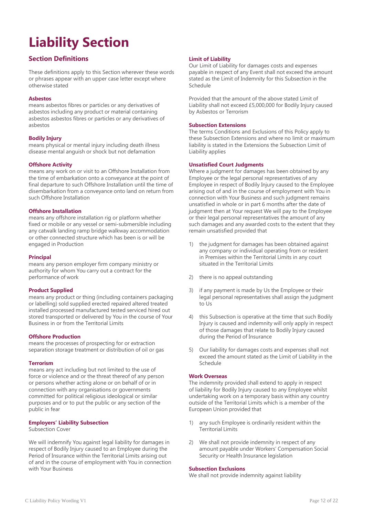# <span id="page-11-0"></span>**Liability Section**

## **Section Definitions**

These definitions apply to this Section wherever these words or phrases appear with an upper case letter except where otherwise stated

## **Asbestos**

means asbestos fibres or particles or any derivatives of asbestos including any product or material containing asbestos asbestos fibres or particles or any derivatives of asbestos

## **Bodily Injury**

means physical or mental injury including death illness disease mental anguish or shock but not defamation

## **Offshore Activity**

means any work on or visit to an Offshore Installation from the time of embarkation onto a conveyance at the point of final departure to such Offshore Installation until the time of disembarkation from a conveyance onto land on return from such Offshore Installation

## **Offshore Installation**

means any offshore installation rig or platform whether fixed or mobile or any vessel or semi-submersible including any catwalk landing ramp bridge walkway accommodation or other connected structure which has been is or will be engaged in Production

## **Principal**

means any person employer firm company ministry or authority for whom You carry out a contract for the performance of work

## **Product Supplied**

means any product or thing (including containers packaging or labelling) sold supplied erected repaired altered treated installed processed manufactured tested serviced hired out stored transported or delivered by You in the course of Your Business in or from the Territorial Limits

## **Offshore Production**

means the processes of prospecting for or extraction separation storage treatment or distribution of oil or gas

## **Terrorism**

means any act including but not limited to the use of force or violence and or the threat thereof of any person or persons whether acting alone or on behalf of or in connection with any organisations or governments committed for political religious ideological or similar purposes and or to put the public or any section of the public in fear

## **Employers' Liability Subsection**

Subsection Cover

We will indemnify You against legal liability for damages in respect of Bodily Injury caused to an Employee during the Period of Insurance within the Territorial Limits arising out of and in the course of employment with You in connection with Your Business

## **Limit of Liability**

Our Limit of Liability for damages costs and expenses payable in respect of any Event shall not exceed the amount stated as the Limit of Indemnity for this Subsection in the Schedule

Provided that the amount of the above stated Limit of Liability shall not exceed £5,000,000 for Bodily Injury caused by Asbestos or Terrorism

## **Subsection Extensions**

The terms Conditions and Exclusions of this Policy apply to these Subsection Extensions and where no limit or maximum liability is stated in the Extensions the Subsection Limit of Liability applies

## **Unsatisfied Court Judgments**

Where a judgment for damages has been obtained by any Employee or the legal personal representatives of any Employee in respect of Bodily Injury caused to the Employee arising out of and in the course of employment with You in connection with Your Business and such judgment remains unsatisfied in whole or in part 6 months after the date of judgment then at Your request We will pay to the Employee or their legal personal representatives the amount of any such damages and any awarded costs to the extent that they remain unsatisfied provided that

- 1) the judgment for damages has been obtained against any company or individual operating from or resident in Premises within the Territorial Limits in any court situated in the Territorial Limits
- 2) there is no appeal outstanding
- 3) if any payment is made by Us the Employee or their legal personal representatives shall assign the judgment to Us
- 4) this Subsection is operative at the time that such Bodily Injury is caused and indemnity will only apply in respect of those damages that relate to Bodily Injury caused during the Period of Insurance
- 5) Our liability for damages costs and expenses shall not exceed the amount stated as the Limit of Liability in the Schedule

## **Work Overseas**

The indemnity provided shall extend to apply in respect of liability for Bodily Injury caused to any Employee whilst undertaking work on a temporary basis within any country outside of the Territorial Limits which is a member of the European Union provided that

- 1) any such Employee is ordinarily resident within the Territorial Limits
- 2) We shall not provide indemnity in respect of any amount payable under Workers' Compensation Social Security or Health Insurance legislation

## **Subsection Exclusions**

We shall not provide indemnity against liability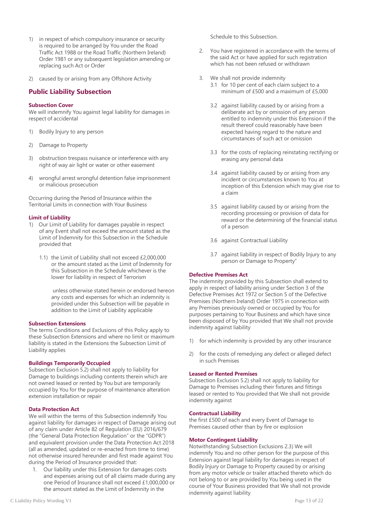- 1) in respect of which compulsory insurance or security is required to be arranged by You under the Road Traffic Act 1988 or the Road Traffic (Northern Ireland) Order 1981 or any subsequent legislation amending or replacing such Act or Order
- 2) caused by or arising from any Offshore Activity

## **Public Liability Subsection**

## **Subsection Cover**

We will indemnify You against legal liability for damages in respect of accidental

- 1) Bodily Injury to any person
- 2) Damage to Property
- 3) obstruction trespass nuisance or interference with any right of way air light or water or other easement
- 4) wrongful arrest wrongful detention false imprisonment or malicious prosecution

Occurring during the Period of Insurance within the Territorial Limits in connection with Your Business

## **Limit of Liability**

- 1) Our Limit of Liability for damages payable in respect of any Event shall not exceed the amount stated as the Limit of Indemnity for this Subsection in the Schedule provided that
	- 1.1) the Limit of Liability shall not exceed £2,000,000 or the amount stated as the Limit of Indemnity for this Subsection in the Schedule whichever is the lower for liability in respect of Terrorism

unless otherwise stated herein or endorsed hereon any costs and expenses for which an indemnity is provided under this Subsection will be payable in addition to the Limit of Liability applicable

## **Subsection Extensions**

The terms Conditions and Exclusions of this Policy apply to these Subsection Extensions and where no limit or maximum liability is stated in the Extensions the Subsection Limit of Liability applies

## **Buildings Temporarily Occupied**

Subsection Exclusion 5.2) shall not apply to liability for Damage to buildings including contents therein which are not owned leased or rented by You but are temporarily occupied by You for the purpose of maintenance alteration extension installation or repair

## **Data Protection Act**

We will within the terms of this Subsection indemnify You against liability for damages in respect of Damage arising out of any claim under Article 82 of Regulation (EU) 2016/679 (the "General Data Protection Regulation" or the "GDPR") and equivalent provision under the Data Protection Act 2018 (all as amended, updated or re-enacted from time to time) not otherwise insured hereunder and first made against You during the Period of Insurance provided that:

1. Our liability under this Extension for damages costs and expenses arising out of all claims made during any one Period of Insurance shall not exceed £1,000,000 or the amount stated as the Limit of Indemnity in the

Schedule to this Subsection.

- 2. You have registered in accordance with the terms of the said Act or have applied for such registration which has not been refused or withdrawn
- 3. We shall not provide indemnity
	- 3.1 for 10 per cent of each claim subject to a minimum of £500 and a maximum of £5,000
	- 3.2 against liability caused by or arising from a deliberate act by or omission of any person entitled to indemnity under this Extension if the result thereof could reasonably have been expected having regard to the nature and circumstances of such act or omission
	- 3.3 for the costs of replacing reinstating rectifying or erasing any personal data
	- 3.4 against liability caused by or arising from any incident or circumstances known to You at inception of this Extension which may give rise to a claim
	- 3.5 against liability caused by or arising from the recording processing or provision of data for reward or the determining of the financial status of a person
	- 3.6 against Contractual Liability
	- 3.7 against liability in respect of Bodily Injury to any person or Damage to Property"

## **Defective Premises Act**

The indemnity provided by this Subsection shall extend to apply in respect of liability arising under Section 3 of the Defective Premises Act 1972 or Section 5 of the Defective Premises (Northern Ireland) Order 1975 in connection with any Premises previously owned or occupied by You for purposes pertaining to Your Business and which have since been disposed of by You provided that We shall not provide indemnity against liability

- 1) for which indemnity is provided by any other insurance
- 2) for the costs of remedying any defect or alleged defect in such Premises

## **Leased or Rented Premises**

Subsection Exclusion 5.2) shall not apply to liability for Damage to Premises including their fixtures and fittings leased or rented to You provided that We shall not provide indemnity against

## **Contractual Liability**

the first £500 of each and every Event of Damage to Premises caused other than by fire or explosion

## **Motor Contingent Liability**

Notwithstanding Subsection Exclusions 2.3) We will indemnify You and no other person for the purpose of this Extension against legal liability for damages in respect of Bodily Injury or Damage to Property caused by or arising from any motor vehicle or trailer attached thereto which do not belong to or are provided by You being used in the course of Your Business provided that We shall not provide indemnity against liability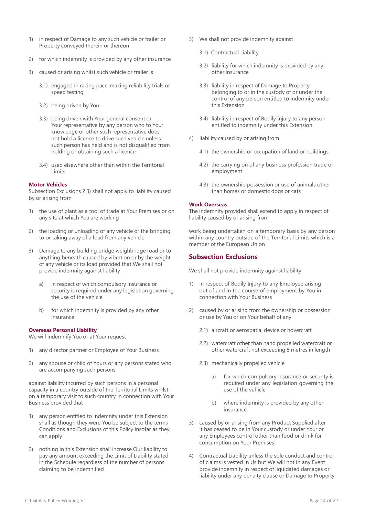- 1) in respect of Damage to any such vehicle or trailer or Property conveyed therein or thereon
- 2) for which indemnity is provided by any other insurance
- 3) caused or arising whilst such vehicle or trailer is
	- 3.1) engaged in racing pace-making reliability trials or speed testing
	- 3.2) being driven by You
	- 3.3) being driven with Your general consent or Your representative by any person who to Your knowledge or other such representative does not hold a licence to drive such vehicle unless such person has held and is not disqualified from holding or obtaining such a licence
	- 3.4) used elsewhere other than within the Territorial Limits

## **Motor Vehicles**

Subsection Exclusions 2.3) shall not apply to liability caused by or arising from

- 1) the use of plant as a tool of trade at Your Premises or on any site at which You are working
- 2) the loading or unloading of any vehicle or the bringing to or taking away of a load from any vehicle
- 3) Damage to any building bridge weighbridge road or to anything beneath caused by vibration or by the weight of any vehicle or its load provided that We shall not provide indemnity against liability
	- a) in respect of which compulsory insurance or security is required under any legislation governing the use of the vehicle
	- b) for which indemnity is provided by any other insurance

## **Overseas Personal Liability**

We will indemnify You or at Your request

- 1) any director partner or Employee of Your Business
- 2) any spouse or child of Yours or any persons stated who are accompanying such persons

against liability incurred by such persons in a personal capacity in a country outside of the Territorial Limits whilst on a temporary visit to such country in connection with Your Business provided that

- 1) any person entitled to indemnity under this Extension shall as though they were You be subject to the terms Conditions and Exclusions of this Policy insofar as they can apply
- 2) nothing in this Extension shall increase Our liability to pay any amount exceeding the Limit of Liability stated in the Schedule regardless of the number of persons claiming to be indemnified
- 3) We shall not provide indemnity against
	- 3.1) Contractual Liability
	- 3.2) liability for which indemnity is provided by any other insurance
	- 3.3) liability in respect of Damage to Property belonging to or in the custody of or under the control of any person entitled to indemnity under this Extension
	- 3.4) liability in respect of Bodily Injury to any person entitled to indemnity under this Extension
- 4) liability caused by or arising from
	- 4.1) the ownership or occupation of land or buildings
	- 4.2) the carrying on of any business profession trade or employment
	- 4.3) the ownership possession or use of animals other than horses or domestic dogs or cats

### **Work Overseas**

The indemnity provided shall extend to apply in respect of liability caused by or arising from

work being undertaken on a temporary basis by any person within any country outside of the Territorial Limits which is a member of the European Union

## **Subsection Exclusions**

We shall not provide indemnity against liability

- 1) in respect of Bodily Injury to any Employee arising out of and in the course of employment by You in connection with Your Business
- 2) caused by or arising from the ownership or possession or use by You or on Your behalf of any
	- 2.1) aircraft or aerospatial device or hovercraft
	- 2.2) watercraft other than hand propelled watercraft or other watercraft not exceeding 8 metres in length
	- 2.3) mechanically propelled vehicle
		- a) for which compulsory insurance or security is required under any legislation governing the use of the vehicle
		- b) where indemnity is provided by any other insurance.
- 3) caused by or arising from any Product Supplied after it has ceased to be in Your custody or under Your or any Employees control other than food or drink for consumption on Your Premises
- 4) Contractual Liability unless the sole conduct and control of claims is vested in Us but We will not in any Event provide indemnity in respect of liquidated damages or liability under any penalty clause or Damage to Property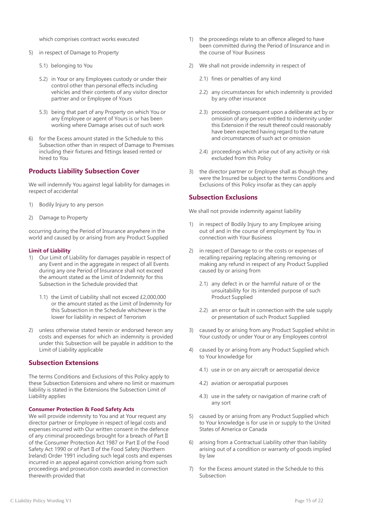which comprises contract works executed

- 5) in respect of Damage to Property
	- 5.1) belonging to You
	- 5.2) in Your or any Employees custody or under their control other than personal effects including vehicles and their contents of any visitor director partner and or Employee of Yours
	- 5.3) being that part of any Property on which You or any Employee or agent of Yours is or has been working where Damage arises out of such work
- 6) for the Excess amount stated in the Schedule to this Subsection other than in respect of Damage to Premises including their fixtures and fittings leased rented or hired to You

## **Products Liability Subsection Cover**

We will indemnify You against legal liability for damages in respect of accidental

- 1) Bodily Injury to any person
- 2) Damage to Property

occurring during the Period of Insurance anywhere in the world and caused by or arising from any Product Supplied

## **Limit of Liability**

- 1) Our Limit of Liability for damages payable in respect of any Event and in the aggregate in respect of all Events during any one Period of Insurance shall not exceed the amount stated as the Limit of Indemnity for this Subsection in the Schedule provided that
	- 1.1) the Limit of Liability shall not exceed £2,000,000 or the amount stated as the Limit of Indemnity for this Subsection in the Schedule whichever is the lower for liability in respect of Terrorism
- 2) unless otherwise stated herein or endorsed hereon any costs and expenses for which an indemnity is provided under this Subsection will be payable in addition to the Limit of Liability applicable

## **Subsection Extensions**

The terms Conditions and Exclusions of this Policy apply to these Subsection Extensions and where no limit or maximum liability is stated in the Extensions the Subsection Limit of Liability applies

## **Consumer Protection & Food Safety Acts**

We will provide indemnity to You and at Your request any director partner or Employee in respect of legal costs and expenses incurred with Our written consent in the defence of any criminal proceedings brought for a breach of Part II of the Consumer Protection Act 1987 or Part II of the Food Safety Act 1990 or of Part II of the Food Safety (Northern Ireland) Order 1991 including such legal costs and expenses incurred in an appeal against conviction arising from such proceedings and prosecution costs awarded in connection therewith provided that

- 1) the proceedings relate to an offence alleged to have been committed during the Period of Insurance and in the course of Your Business
- 2) We shall not provide indemnity in respect of
	- 2.1) fines or penalties of any kind
	- 2.2) any circumstances for which indemnity is provided by any other insurance
	- 2.3) proceedings consequent upon a deliberate act by or omission of any person entitled to indemnity under this Extension if the result thereof could reasonably have been expected having regard to the nature and circumstances of such act or omission
	- 2.4) proceedings which arise out of any activity or risk excluded from this Policy
- 3) the director partner or Employee shall as though they were the Insured be subject to the terms Conditions and Exclusions of this Policy insofar as they can apply

## **Subsection Exclusions**

We shall not provide indemnity against liability

- 1) in respect of Bodily Injury to any Employee arising out of and in the course of employment by You in connection with Your Business
- 2) in respect of Damage to or the costs or expenses of recalling repairing replacing altering removing or making any refund in respect of any Product Supplied caused by or arising from
	- 2.1) any defect in or the harmful nature of or the unsuitability for its intended purpose of such Product Supplied
	- 2.2) an error or fault in connection with the sale supply or presentation of such Product Supplied
- 3) caused by or arising from any Product Supplied whilst in Your custody or under Your or any Employees control
- 4) caused by or arising from any Product Supplied which to Your knowledge for
	- 4.1) use in or on any aircraft or aerospatial device
	- 4.2) aviation or aerospatial purposes
	- 4.3) use in the safety or navigation of marine craft of any sort
- 5) caused by or arising from any Product Supplied which to Your knowledge is for use in or supply to the United States of America or Canada
- 6) arising from a Contractual Liability other than liability arising out of a condition or warranty of goods implied by law
- 7) for the Excess amount stated in the Schedule to this Subsection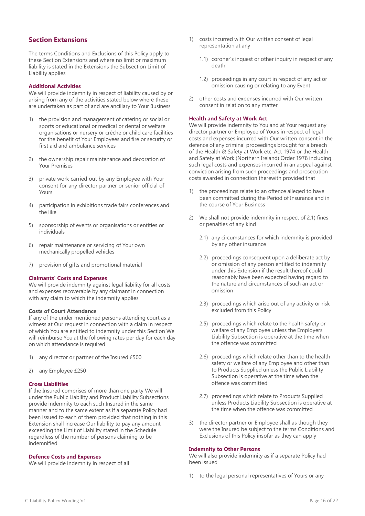## **Section Extensions**

The terms Conditions and Exclusions of this Policy apply to these Section Extensions and where no limit or maximum liability is stated in the Extensions the Subsection Limit of Liability applies

## **Additional Activities**

We will provide indemnity in respect of liability caused by or arising from any of the activities stated below where these are undertaken as part of and are ancillary to Your Business

- 1) the provision and management of catering or social or sports or educational or medical or dental or welfare organisations or nursery or crèche or child care facilities for the benefit of Your Employees and fire or security or first aid and ambulance services
- 2) the ownership repair maintenance and decoration of Your Premises
- 3) private work carried out by any Employee with Your consent for any director partner or senior official of Yours
- 4) participation in exhibitions trade fairs conferences and the like
- 5) sponsorship of events or organisations or entities or individuals
- 6) repair maintenance or servicing of Your own mechanically propelled vehicles
- 7) provision of gifts and promotional material

#### **Claimants' Costs and Expenses**

We will provide indemnity against legal liability for all costs and expenses recoverable by any claimant in connection with any claim to which the indemnity applies

## **Costs of Court Attendance**

If any of the under mentioned persons attending court as a witness at Our request in connection with a claim in respect of which You are entitled to indemnity under this Section We will reimburse You at the following rates per day for each day on which attendance is required

- any director or partner of the Insured £500
- 2) any Employee £250

#### **Cross Liabilities**

If the Insured comprises of more than one party We will under the Public Liability and Product Liability Subsections provide indemnity to each such Insured in the same manner and to the same extent as if a separate Policy had been issued to each of them provided that nothing in this Extension shall increase Our liability to pay any amount exceeding the Limit of Liability stated in the Schedule regardless of the number of persons claiming to be indemnified

## **Defence Costs and Expenses**

We will provide indemnity in respect of all

- 1) costs incurred with Our written consent of legal representation at any
	- 1.1) coroner's inquest or other inquiry in respect of any death
	- 1.2) proceedings in any court in respect of any act or omission causing or relating to any Event
- 2) other costs and expenses incurred with Our written consent in relation to any matter

### **Health and Safety at Work Act**

We will provide indemnity to You and at Your request any director partner or Employee of Yours in respect of legal costs and expenses incurred with Our written consent in the defence of any criminal proceedings brought for a breach of the Health & Safety at Work etc. Act 1974 or the Health and Safety at Work (Northern Ireland) Order 1978 including such legal costs and expenses incurred in an appeal against conviction arising from such proceedings and prosecution costs awarded in connection therewith provided that

- 1) the proceedings relate to an offence alleged to have been committed during the Period of Insurance and in the course of Your Business
- 2) We shall not provide indemnity in respect of 2.1) fines or penalties of any kind
	- 2.1) any circumstances for which indemnity is provided by any other insurance
	- 2.2) proceedings consequent upon a deliberate act by or omission of any person entitled to indemnity under this Extension if the result thereof could reasonably have been expected having regard to the nature and circumstances of such an act or omission
	- 2.3) proceedings which arise out of any activity or risk excluded from this Policy
	- 2.5) proceedings which relate to the health safety or welfare of any Employee unless the Employers Liability Subsection is operative at the time when the offence was committed
	- 2.6) proceedings which relate other than to the health safety or welfare of any Employee and other than to Products Supplied unless the Public Liability Subsection is operative at the time when the offence was committed
	- 2.7) proceedings which relate to Products Supplied unless Products Liability Subsection is operative at the time when the offence was committed
- 3) the director partner or Employee shall as though they were the Insured be subject to the terms Conditions and Exclusions of this Policy insofar as they can apply

### **Indemnity to Other Persons**

We will also provide indemnity as if a separate Policy had been issued

1) to the legal personal representatives of Yours or any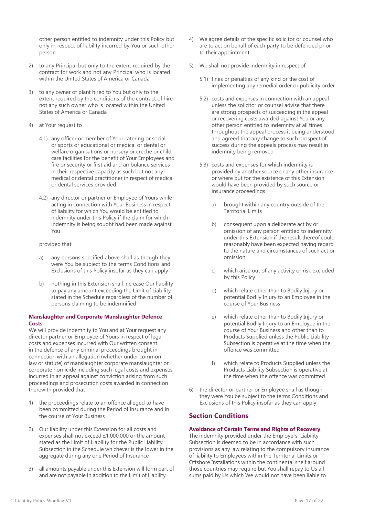other person entitled to indemnity under this Policy but only in respect of liability incurred by You or such other person

- 2) to any Principal but only to the extent required by the contract for work and not any Principal who is located within the United States of America or Canada
- 3) to any owner of plant hired to You but only to the extent required by the conditions of the contract of hire not any such owner who is located within the United States of America or Canada
- 4) at Your request to
	- 4.1) any officer or member of Your catering or social or sports or educational or medical or dental or welfare organisations or nursery or crèche or child care facilities for the benefit of Your Employees and fire or security or first aid and ambulance services in their respective capacity as such but not any medical or dental practitioner in respect of medical or dental services provided
	- 4.2) any director or partner or Employee of Yours while acting in connection with Your Business in respect of liability for which You would be entitled to indemnity under this Policy if the claim for which indemnity is being sought had been made against You

## provided that

- any persons specified above shall as though they were You be subject to the terms Conditions and Exclusions of this Policy insofar as they can apply
- b) nothing in this Extension shall increase Our liability to pay any amount exceeding the Limit of Liability stated in the Schedule regardless of the number of persons claiming to be indemnified

## **Manslaughter and Corporate Manslaughter Defence Costs**

We will provide indemnity to You and at Your request any director partner or Employee of Yours in respect of legal costs and expenses incurred with Our written consent in the defence of any criminal proceedings brought in connection with an allegation (whether under common law or statute) of manslaughter corporate manslaughter or corporate homicide including such legal costs and expenses incurred in an appeal against conviction arising from such proceedings and prosecution costs awarded in connection therewith provided that

- 1) the proceedings relate to an offence alleged to have been committed during the Period of Insurance and in the course of Your Business
- 2) Our liability under this Extension for all costs and expenses shall not exceed £1,000,000 or the amount stated as the Limit of Liability for the Public Liability Subsection in the Schedule whichever is the lower in the aggregate during any one Period of Insurance
- 3) all amounts payable under this Extension will form part of and are not payable in addition to the Limit of Liability
- 4) We agree details of the specific solicitor or counsel who are to act on behalf of each party to be defended prior to their appointment
- 5) We shall not provide indemnity in respect of
	- 5.1) fines or penalties of any kind or the cost of implementing any remedial order or publicity order
	- 5.2) costs and expenses in connection with an appeal unless the solicitor or counsel advise that there are strong prospects of succeeding in the appeal or recovering costs awarded against You or any other person entitled to indemnity at all times throughout the appeal process it being understood and agreed that any change to such prospect of success during the appeals process may result in indemnity being removed
	- 5.3) costs and expenses for which indemnity is provided by another source or any other insurance or where but for the existence of this Extension would have been provided by such source or insurance proceedings
		- brought within any country outside of the Territorial Limits
		- b) consequent upon a deliberate act by or omission of any person entitled to indemnity under this Extension if the result thereof could reasonably have been expected having regard to the nature and circumstances of such act or omission
		- c) which arise out of any activity or risk excluded by this Policy
		- d) which relate other than to Bodily Injury or potential Bodily Injury to an Employee in the course of Your Business
		- e) which relate other than to Bodily Injury or potential Bodily Injury to an Employee in the course of Your Business and other than to Products Supplied unless the Public Liability Subsection is operative at the time when the offence was committed
		- f) which relate to Products Supplied unless the Products Liability Subsection is operative at the time when the offence was committed
- 6) the director or partner or Employee shall as though they were You be subject to the terms Conditions and Exclusions of this Policy insofar as they can apply

## **Section Conditions**

## **Avoidance of Certain Terms and Rights of Recovery**

The indemnity provided under the Employers' Liability Subsection is deemed to be in accordance with such provisions as any law relating to the compulsory insurance of liability to Employees within the Territorial Limits or Offshore Installations within the continental shelf around those countries may require but You shall repay to Us all sums paid by Us which We would not have been liable to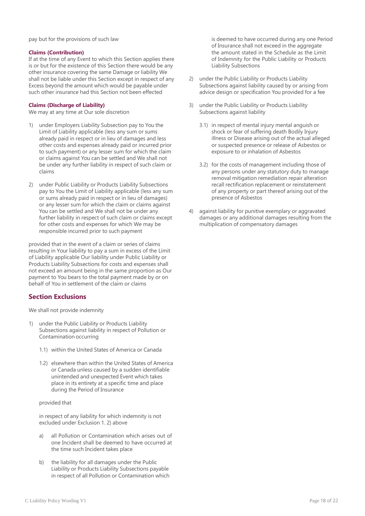pay but for the provisions of such law

## **Claims (Contribution)**

If at the time of any Event to which this Section applies there is or but for the existence of this Section there would be any other insurance covering the same Damage or liability We shall not be liable under this Section except in respect of any Excess beyond the amount which would be payable under such other insurance had this Section not been effected

## **Claims (Discharge of Liability)**

We may at any time at Our sole discretion

- 1) under Employers Liability Subsection pay to You the Limit of Liability applicable (less any sum or sums already paid in respect or in lieu of damages and less other costs and expenses already paid or incurred prior to such payment) or any lesser sum for which the claim or claims against You can be settled and We shall not be under any further liability in respect of such claim or claims
- 2) under Public Liability or Products Liability Subsections pay to You the Limit of Liability applicable (less any sum or sums already paid in respect or in lieu of damages) or any lesser sum for which the claim or claims against You can be settled and We shall not be under any further liability in respect of such claim or claims except for other costs and expenses for which We may be responsible incurred prior to such payment

provided that in the event of a claim or series of claims resulting in Your liability to pay a sum in excess of the Limit of Liability applicable Our liability under Public Liability or Products Liability Subsections for costs and expenses shall not exceed an amount being in the same proportion as Our payment to You bears to the total payment made by or on behalf of You in settlement of the claim or claims

## **Section Exclusions**

We shall not provide indemnity

- 1) under the Public Liability or Products Liability Subsections against liability in respect of Pollution or Contamination occurring
	- 1.1) within the United States of America or Canada
	- 1.2) elsewhere than within the United States of America or Canada unless caused by a sudden identifiable unintended and unexpected Event which takes place in its entirety at a specific time and place during the Period of Insurance

## provided that

in respect of any liability for which indemnity is not excluded under Exclusion 1. 2) above

- a) all Pollution or Contamination which arises out of one Incident shall be deemed to have occurred at the time such Incident takes place
- b) the liability for all damages under the Public Liability or Products Liability Subsections payable in respect of all Pollution or Contamination which

is deemed to have occurred during any one Period of Insurance shall not exceed in the aggregate the amount stated in the Schedule as the Limit of Indemnity for the Public Liability or Products Liability Subsections

- 2) under the Public Liability or Products Liability Subsections against liability caused by or arising from advice design or specification You provided for a fee
- 3) under the Public Liability or Products Liability Subsections against liability
	- 3.1) in respect of mental injury mental anguish or shock or fear of suffering death Bodily Injury illness or Disease arising out of the actual alleged or suspected presence or release of Asbestos or exposure to or inhalation of Asbestos
	- 3.2) for the costs of management including those of any persons under any statutory duty to manage removal mitigation remediation repair alteration recall rectification replacement or reinstatement of any property or part thereof arising out of the presence of Asbestos
- 4) against liability for punitive exemplary or aggravated damages or any additional damages resulting from the multiplication of compensatory damages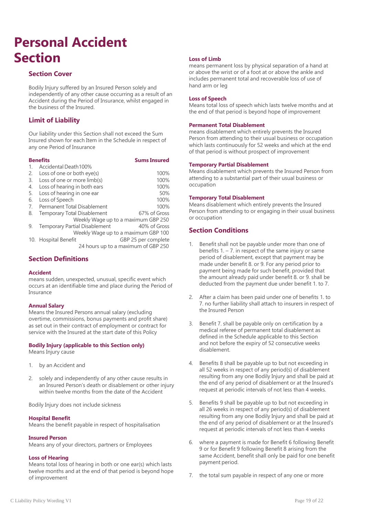## <span id="page-18-0"></span>**Personal Accident Section**

## **Section Cover**

Bodily Injury suffered by an Insured Person solely and independently of any other cause occurring as a result of an Accident during the Period of Insurance, whilst engaged in the business of the Insured.

## **Limit of Liability**

Our liability under this Section shall not exceed the Sum Insured shown for each Item in the Schedule in respect of any one Period of Insurance

## **Benefits Sums Insured**

| $\mathbf{1}$ . | Accidental Death100%                 |                     |  |
|----------------|--------------------------------------|---------------------|--|
| 2.             | Loss of one or both eye(s)           | 100%                |  |
| 3.             | Loss of one or more limb(s)          | 100%                |  |
| 4.             | Loss of hearing in both ears         | 100%                |  |
| 5.             | Loss of hearing in one ear           | 50%                 |  |
| 6.             | Loss of Speech                       | 100%                |  |
| 7.             | <b>Permanent Total Disablement</b>   | 100%                |  |
| 8.             | Temporary Total Disablement          | 67% of Gross        |  |
|                | Weekly Wage up to a maximum GBP 250  |                     |  |
| 9.             | <b>Temporary Partial Disablement</b> | 40% of Gross        |  |
|                | Weekly Wage up to a maximum GBP 100  |                     |  |
|                | 10. Hospital Benefit                 | GBP 25 per complete |  |
|                | 24 hours up to a maximum of GBP 250  |                     |  |

## **Section Definitions**

## **Accident**

means sudden, unexpected, unusual, specific event which occurs at an identifiable time and place during the Period of Insurance

## **Annual Salary**

Means the Insured Persons annual salary (excluding overtime, commissions, bonus payments and profit share) as set out in their contract of employment or contract for service with the Insured at the start date of this Policy

## **Bodily Injury (applicable to this Section only)**

Means Injury cause

- 1. by an Accident and
- 2. solely and independently of any other cause results in an Insured Person's death or disablement or other injury within twelve months from the date of the Accident

Bodily Injury does not include sickness

## **Hospital Benefit**

Means the benefit payable in respect of hospitalisation

## **Insured Person**

Means any of your directors, partners or Employees

## **Loss of Hearing**

Means total loss of hearing in both or one ear(s) which lasts twelve months and at the end of that period is beyond hope of improvement

## **Loss of Limb**

means permanent loss by physical separation of a hand at or above the wrist or of a foot at or above the ankle and includes permanent total and recoverable loss of use of hand arm or leg

## **Loss of Speech**

Means total loss of speech which lasts twelve months and at the end of that period is beyond hope of improvement

## **Permanent Total Disablement**

means disablement which entirely prevents the Insured Person from attending to their usual business or occupation which lasts continuously for 52 weeks and which at the end of that period is without prospect of improvement

## **Temporary Partial Disablement**

Means disablement which prevents the Insured Person from attending to a substantial part of their usual business or occupation

## **Temporary Total Disablement**

Means disablement which entirely prevents the Insured Person from attending to or engaging in their usual business or occupation

## **Section Conditions**

- 1. Benefit shall not be payable under more than one of benefits  $1 - 7$ . in respect of the same injury or same period of disablement, except that payment may be made under benefit 8. or 9. For any period prior to payment being made for such benefit, provided that the amount already paid under benefit 8. or 9. shall be deducted from the payment due under benefit 1. to 7.
- 2. After a claim has been paid under one of benefits 1. to 7. no further liability shall attach to insurers in respect of the Insured Person
- 3. Benefit 7. shall be payable only on certification by a medical referee of permanent total disablement as defined in the Schedule applicable to this Section and not before the expiry of 52 consecutive weeks disablement.
- 4. Benefits 8 shall be payable up to but not exceeding in all 52 weeks in respect of any period(s) of disablement resulting from any one Bodily Injury and shall be paid at the end of any period of disablement or at the Insured's request at periodic intervals of not less than 4 weeks.
- 5. Benefits 9 shall be payable up to but not exceeding in all 26 weeks in respect of any period(s) of disablement resulting from any one Bodily Injury and shall be paid at the end of any period of disablement or at the Insured's request at periodic intervals of not less than 4 weeks
- 6. where a payment is made for Benefit 6 following Benefit 9 or for Benefit 9 following Benefit 8 arising from the same Accident, benefit shall only be paid for one benefit payment period.
- 7. the total sum payable in respect of any one or more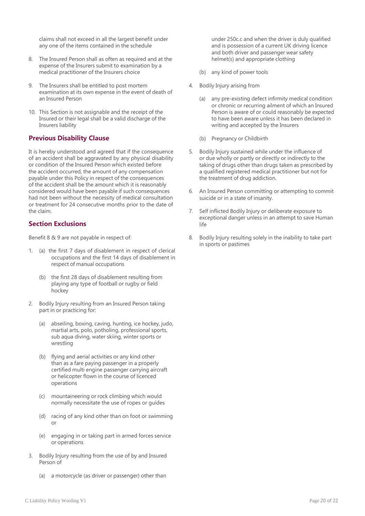claims shall not exceed in all the largest benefit under any one of the items contained in the schedule

- 8. The Insured Person shall as often as required and at the expense of the Insurers submit to examination by a medical practitioner of the Insurers choice
- 9. The Insurers shall be entitled to post mortem examination at its own expense in the event of death of an Insured Person
- 10. This Section is not assignable and the receipt of the Insured or their legal shall be a valid discharge of the Insurers liability

## **Previous Disability Clause**

It is hereby understood and agreed that if the consequence of an accident shall be aggravated by any physical disability or condition of the Insured Person which existed before the accident occurred, the amount of any compensation payable under this Policy in respect of the consequences of the accident shall be the amount which it is reasonably considered would have been payable if such consequences had not been without the necessity of medical consultation or treatment for 24 consecutive months prior to the date of the claim.

## **Section Exclusions**

Benefit 8 & 9 are not payable in respect of:

- 1. (a) the first 7 days of disablement in respect of clerical occupations and the first 14 days of disablement in respect of manual occupations
	- (b) the first 28 days of disablement resulting from playing any type of football or rugby or field hockey
- 2. Bodily Injury resulting from an Insured Person taking part in or practicing for:
	- (a) abseiling, boxing, caving, hunting, ice hockey, judo, martial arts, polo, potholing, professional sports, sub aqua diving, water skiing, winter sports or wrestling
	- (b) flying and aerial activities or any kind other than as a fare paying passenger in a properly certified multi engine passenger carrying aircraft or helicopter flown in the course of licenced operations
	- (c) mountaineering or rock climbing which would normally necessitate the use of ropes or guides
	- (d) racing of any kind other than on foot or swimming or
	- (e) engaging in or taking part in armed forces service or operations
- 3. Bodily Injury resulting from the use of by and Insured Person of
	- (a) a motorcycle (as driver or passenger) other than

under 250c.c and when the driver is duly qualified and is possession of a current UK driving licence and both driver and passenger wear safety helmet(s) and appropriate clothing

- (b) any kind of power tools
- 4. Bodily Injury arising from
	- (a) any pre-existing defect infirmity medical condition or chronic or recurring ailment of which an Insured Person is aware of or could reasonably be expected to have been aware unless it has been declared in writing and accepted by the Insurers
	- (b) Pregnancy or Childbirth
- 5. Bodily Injury sustained while under the influence of or due wholly or partly or directly or indirectly to the taking of drugs other than drugs taken as prescribed by a qualified registered medical practitioner but not for the treatment of drug addiction.
- 6. An Insured Person committing or attempting to commit suicide or in a state of insanity.
- 7. Self inflicted Bodily Injury or deliberate exposure to exceptional danger unless in an attempt to save Human life
- 8. Bodily Injury resulting solely in the inability to take part in sports or pastimes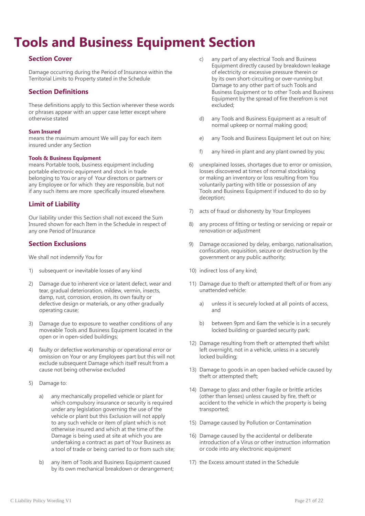## <span id="page-20-0"></span>**Tools and Business Equipment Section**

## **Section Cover**

Damage occurring during the Period of Insurance within the Territorial Limits to Property stated in the Schedule

## **Section Definitions**

These definitions apply to this Section wherever these words or phrases appear with an upper case letter except where otherwise stated

## **Sum Insured**

means the maximum amount We will pay for each item insured under any Section

## **Tools & Business Equipment**

means Portable tools, business equipment including portable electronic equipment and stock in trade belonging to You or any of Your directors or partners or any Employee or for which they are responsible, but not if any such items are more specifically insured elsewhere.

## **Limit of Liability**

Our liability under this Section shall not exceed the Sum Insured shown for each Item in the Schedule in respect of any one Period of Insurance

## **Section Exclusions**

We shall not indemnify You for

- 1) subsequent or inevitable losses of any kind
- 2) Damage due to inherent vice or latent defect, wear and tear, gradual deterioration, mildew, vermin, insects, damp, rust, corrosion, erosion, its own faulty or defective design or materials, or any other gradually operating cause;
- 3) Damage due to exposure to weather conditions of any moveable Tools and Business Equipment located in the open or in open-sided buildings;
- 4) faulty or defective workmanship or operational error or omission on Your or any Employees part but this will not exclude subsequent Damage which itself result from a cause not being otherwise excluded
- 5) Damage to:
	- a) any mechanically propelled vehicle or plant for which compulsory insurance or security is required under any legislation governing the use of the vehicle or plant but this Exclusion will not apply to any such vehicle or item of plant which is not otherwise insured and which at the time of the Damage is being used at site at which you are undertaking a contract as part of Your Business as a tool of trade or being carried to or from such site;
	- b) any item of Tools and Business Equipment caused by its own mechanical breakdown or derangement;
- c) any part of any electrical Tools and Business Equipment directly caused by breakdown leakage of electricity or excessive pressure therein or by its own short-circuiting or over-running but Damage to any other part of such Tools and Business Equipment or to other Tools and Business Equipment by the spread of fire therefrom is not excluded;
- d) any Tools and Business Equipment as a result of normal upkeep or normal making good;
- e) any Tools and Business Equipment let out on hire;
- f) any hired-in plant and any plant owned by you;
- 6) unexplained losses, shortages due to error or omission, losses discovered at times of normal stocktaking or making an inventory or loss resulting from You voluntarily parting with title or possession of any Tools and Business Equipment if induced to do so by deception;
- 7) acts of fraud or dishonesty by Your Employees
- 8) any process of fitting or testing or servicing or repair or renovation or adjustment
- 9) Damage occasioned by delay, embargo, nationalisation, confiscation, requisition, seizure or destruction by the government or any public authority;
- 10) indirect loss of any kind;
- 11) Damage due to theft or attempted theft of or from any unattended vehicle:
	- a) unless it is securely locked at all points of access, and
	- b) between 9pm and 6am the vehicle is in a securely locked building or guarded security park;
- 12) Damage resulting from theft or attempted theft whilst left overnight, not in a vehicle, unless in a securely locked building;
- 13) Damage to goods in an open backed vehicle caused by theft or attempted theft;
- 14) Damage to glass and other fragile or brittle articles (other than lenses) unless caused by fire, theft or accident to the vehicle in which the property is being transported;
- 15) Damage caused by Pollution or Contamination
- 16) Damage caused by the accidental or deliberate introduction of a Virus or other instruction information or code into any electronic equipment
- 17) the Excess amount stated in the Schedule